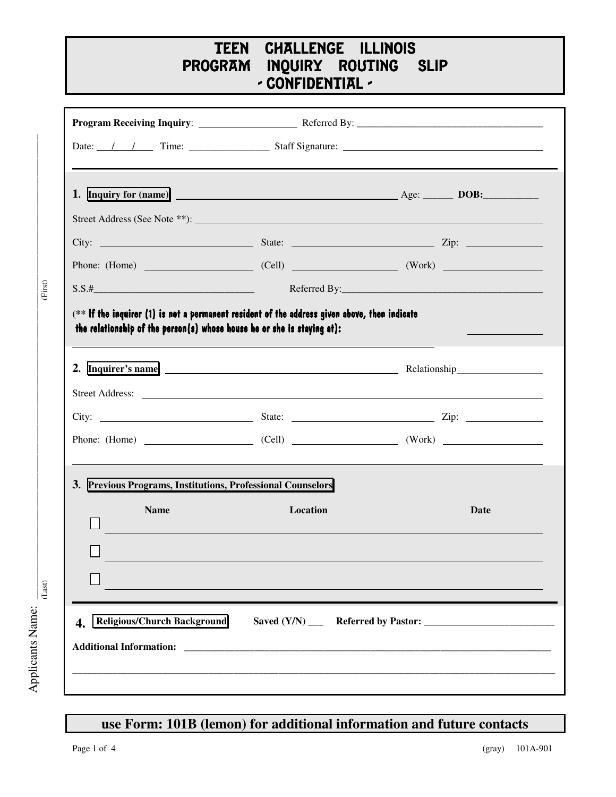## <u>TEE</u> N CHALLENGE I LLINOIS **PROGRAM** NQUIRY ROUTING SLI **SLIP** - CONFIDENTIAL -

|                                                             |                                    | Street Address (See Note **):                              |
|-------------------------------------------------------------|------------------------------------|------------------------------------------------------------|
|                                                             |                                    |                                                            |
|                                                             |                                    |                                                            |
|                                                             |                                    |                                                            |
|                                                             |                                    | 2. Inquirer's name example and a Relationship Relationship |
|                                                             |                                    |                                                            |
|                                                             |                                    |                                                            |
|                                                             |                                    |                                                            |
|                                                             |                                    |                                                            |
| 3. Previous Programs, Institutions, Professional Counselors |                                    |                                                            |
| <b>Name</b>                                                 | Location                           | Date                                                       |
|                                                             |                                    |                                                            |
|                                                             |                                    |                                                            |
|                                                             |                                    |                                                            |
|                                                             | <b>Religious/Church Background</b> |                                                            |

## **use Form: 101B (lemon) for additional information and future contacts**

 $\blacktriangleleft$ 

p plic a nts N a m

ا<br>ن

 $(Last)$ 

 $(First)$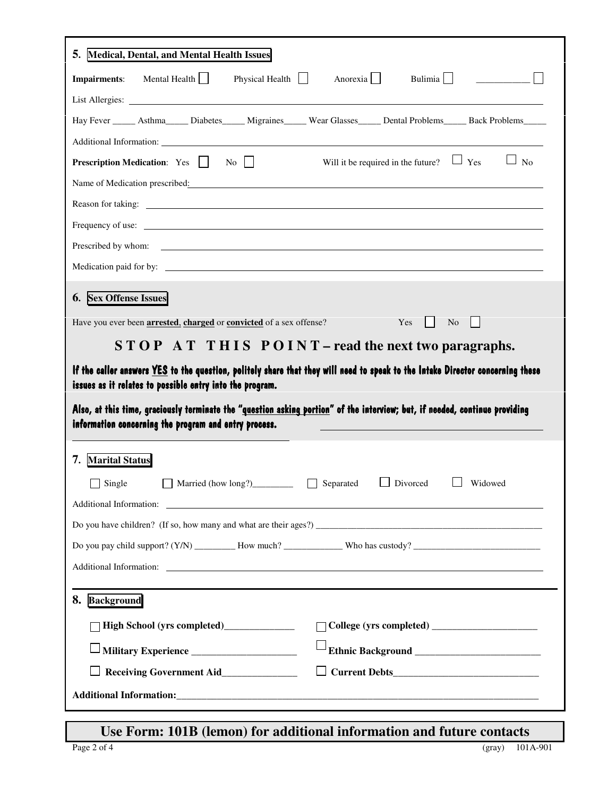| <b>Medical, Dental, and Mental Health Issues</b><br>5.                                                                                                                                                                                                                                                                                                                                    |
|-------------------------------------------------------------------------------------------------------------------------------------------------------------------------------------------------------------------------------------------------------------------------------------------------------------------------------------------------------------------------------------------|
| Bulimia<br>Mental Health<br>Physical Health<br>Anorexia<br><b>Impairments:</b>                                                                                                                                                                                                                                                                                                            |
|                                                                                                                                                                                                                                                                                                                                                                                           |
| Hay Fever ______ Asthma______ Diabetes______ Migraines______ Wear Glasses______ Dental Problems______ Back Problems______                                                                                                                                                                                                                                                                 |
|                                                                                                                                                                                                                                                                                                                                                                                           |
| Will it be required in the future? $\Box$ Yes<br>$\Box$<br>No<br><b>Prescription Medication:</b> Yes     No                                                                                                                                                                                                                                                                               |
| Name of Medication prescribed: Name of Medication prescribed:                                                                                                                                                                                                                                                                                                                             |
| Reason for taking: the contract of the contract of the contract of the contract of the contract of the contract of the contract of the contract of the contract of the contract of the contract of the contract of the contrac                                                                                                                                                            |
| Frequency of use: <u>contract the contract of the set of the set of the set of the set of the set of the set of the set of the set of the set of the set of the set of the set of the set of the set of the set of the set of th</u>                                                                                                                                                      |
|                                                                                                                                                                                                                                                                                                                                                                                           |
| Medication paid for by:                                                                                                                                                                                                                                                                                                                                                                   |
| <b>6.</b> Sex Offense Issues                                                                                                                                                                                                                                                                                                                                                              |
| Have you ever been <b>arrested</b> , <b>charged</b> or <b>convicted</b> of a sex offense?<br>Yes<br>$\vert \vert$ No                                                                                                                                                                                                                                                                      |
| $STOPATTHISPOINT-read the next two paragraphs.$                                                                                                                                                                                                                                                                                                                                           |
| If the caller answers <u>YES</u> to the question, politely share that they will need to speak to the Intake Director concerning these<br>issues as it relates to possible entry into the program.<br>Also, at this time, graciously terminate the "question asking portion" of the interview; but, if needed, continue providing<br>information concerning the program and entry process. |
| <b>Marital Status</b><br>7.                                                                                                                                                                                                                                                                                                                                                               |
| $\Box$ Divorced<br>Widowed<br>Single<br>Married (how long?)<br>Separated                                                                                                                                                                                                                                                                                                                  |
|                                                                                                                                                                                                                                                                                                                                                                                           |
| Do you have children? (If so, how many and what are their ages?) $\qquad \qquad$                                                                                                                                                                                                                                                                                                          |
|                                                                                                                                                                                                                                                                                                                                                                                           |
| Additional Information: <u>contract of the contract of the contract of the contract of the contract of the contract of the contract of the contract of the contract of the contract of the contract of the contract of the contr</u>                                                                                                                                                      |
|                                                                                                                                                                                                                                                                                                                                                                                           |
| 8. Background                                                                                                                                                                                                                                                                                                                                                                             |
|                                                                                                                                                                                                                                                                                                                                                                                           |
|                                                                                                                                                                                                                                                                                                                                                                                           |
| Receiving Government Aid_______________                                                                                                                                                                                                                                                                                                                                                   |
|                                                                                                                                                                                                                                                                                                                                                                                           |

## **Use Form: 101B** (lemon) for additional information and future contacts (gray) 101/<br>(gray) 101/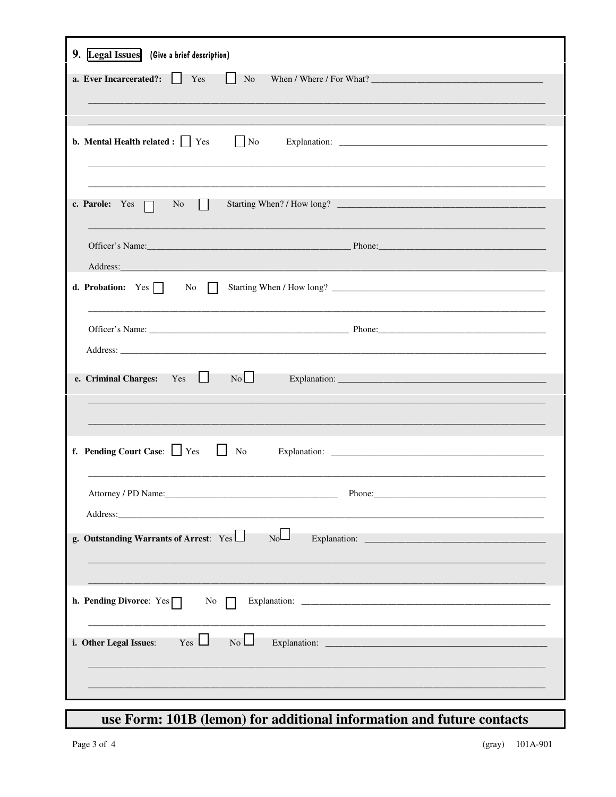| Legal Issues (Give a brief description)<br>9.                                                                                                                                                                                                                                                                                                                                                                                                         |
|-------------------------------------------------------------------------------------------------------------------------------------------------------------------------------------------------------------------------------------------------------------------------------------------------------------------------------------------------------------------------------------------------------------------------------------------------------|
| a. Ever Incarcerated?:<br>Yes<br>N <sub>o</sub><br>$\mathbf{1}$                                                                                                                                                                                                                                                                                                                                                                                       |
| <b>b.</b> Mental Health related : $\vert \cdot \vert$ Yes<br>$\overline{\phantom{a}}$ No                                                                                                                                                                                                                                                                                                                                                              |
| Starting When? / How long?<br>c. Parole: $Yes \Box$<br>N <sub>0</sub><br>$\perp$                                                                                                                                                                                                                                                                                                                                                                      |
|                                                                                                                                                                                                                                                                                                                                                                                                                                                       |
| <b>d. Probation:</b> Yes $\Box$ No                                                                                                                                                                                                                                                                                                                                                                                                                    |
|                                                                                                                                                                                                                                                                                                                                                                                                                                                       |
| No<br>Yes<br>$\perp$<br>e. Criminal Charges:                                                                                                                                                                                                                                                                                                                                                                                                          |
| f. Pending Court Case: $\Box$ Yes<br>$\mathbf{L}$<br>No                                                                                                                                                                                                                                                                                                                                                                                               |
|                                                                                                                                                                                                                                                                                                                                                                                                                                                       |
| $N_0$<br>g. Outstanding Warrants of Arrest: Yes                                                                                                                                                                                                                                                                                                                                                                                                       |
| h. Pending Divorce: $Yes \Box$<br>No                                                                                                                                                                                                                                                                                                                                                                                                                  |
| Explanation: $\frac{1}{\sqrt{1-\frac{1}{2}}\sqrt{1-\frac{1}{2}}\sqrt{1-\frac{1}{2}}\sqrt{1-\frac{1}{2}}\sqrt{1-\frac{1}{2}}\sqrt{1-\frac{1}{2}}\sqrt{1-\frac{1}{2}}\sqrt{1-\frac{1}{2}}\sqrt{1-\frac{1}{2}}\sqrt{1-\frac{1}{2}}\sqrt{1-\frac{1}{2}}\sqrt{1-\frac{1}{2}}\sqrt{1-\frac{1}{2}}\sqrt{1-\frac{1}{2}}\sqrt{1-\frac{1}{2}}\sqrt{1-\frac{1}{2}}\sqrt{1-\frac{1}{2}}\sqrt{1-\frac{1}{2}}\sqrt{1$<br>i. Other Legal Issues:<br>$Yes \Box$<br>No |
|                                                                                                                                                                                                                                                                                                                                                                                                                                                       |
|                                                                                                                                                                                                                                                                                                                                                                                                                                                       |

## use Form: 101B (lemon) for additional information and future contacts